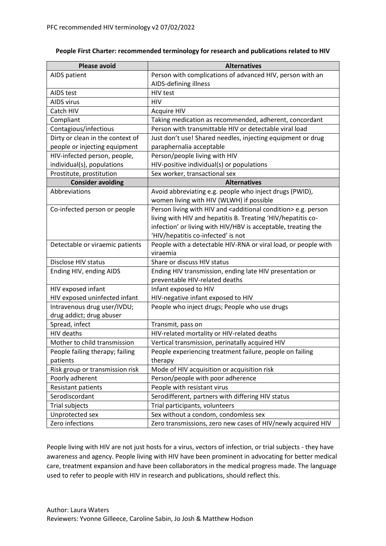| <b>Please avoid</b>              | <b>Alternatives</b>                                                           |
|----------------------------------|-------------------------------------------------------------------------------|
| AIDS patient                     | Person with complications of advanced HIV, person with an                     |
|                                  | AIDS-defining illness                                                         |
| AIDS test                        | HIV test                                                                      |
| AIDS virus                       | <b>HIV</b>                                                                    |
| Catch HIV                        | <b>Acquire HIV</b>                                                            |
| Compliant                        | Taking medication as recommended, adherent, concordant                        |
| Contagious/infectious            | Person with transmittable HIV or detectable viral load                        |
| Dirty or clean in the context of | Just don't use! Shared needles, injecting equipment or drug                   |
| people or injecting equipment    | paraphernalia acceptable                                                      |
| HIV-infected person, people,     | Person/people living with HIV                                                 |
| individual(s), populations       | HIV-positive individual(s) or populations                                     |
| Prostitute, prostitution         | Sex worker, transactional sex                                                 |
| <b>Consider avoiding</b>         | <b>Alternatives</b>                                                           |
| Abbreviations                    | Avoid abbreviating e.g. people who inject drugs (PWID),                       |
|                                  | women living with HIV (WLWH) if possible                                      |
| Co-infected person or people     | Person living with HIV and <additional condition=""> e.g. person</additional> |
|                                  | living with HIV and hepatitis B. Treating 'HIV/hepatitis co-                  |
|                                  | infection' or living with HIV/HBV is acceptable, treating the                 |
|                                  | 'HIV/hepatitis co-infected' is not                                            |
| Detectable or viraemic patients  | People with a detectable HIV-RNA or viral load, or people with                |
|                                  | viraemia                                                                      |
| Disclose HIV status              | Share or discuss HIV status                                                   |
| Ending HIV, ending AIDS          | Ending HIV transmission, ending late HIV presentation or                      |
|                                  | preventable HIV-related deaths                                                |
| HIV exposed infant               | Infant exposed to HIV                                                         |
| HIV exposed uninfected infant    | HIV-negative infant exposed to HIV                                            |
| Intravenous drug user/IVDU;      | People who inject drugs; People who use drugs                                 |
| drug addict; drug abuser         |                                                                               |
| Spread, infect                   | Transmit, pass on                                                             |
| <b>HIV deaths</b>                | HIV-related mortality or HIV-related deaths                                   |
| Mother to child transmission     | Vertical transmission, perinatally acquired HIV                               |
| People failing therapy; failing  | People experiencing treatment failure, people on failing                      |
| patients                         | therapy                                                                       |
| Risk group or transmission risk  | Mode of HIV acquisition or acquisition risk                                   |
| Poorly adherent                  | Person/people with poor adherence                                             |
| <b>Resistant patients</b>        | People with resistant virus                                                   |
| Serodiscordant                   | Serodifferent, partners with differing HIV status                             |
| Trial subjects                   | Trial participants, volunteers                                                |
| Unprotected sex                  | Sex without a condom, condomless sex                                          |
| Zero infections                  | Zero transmissions, zero new cases of HIV/newly acquired HIV                  |

## **People First Charter: recommended terminology for research and publications related to HIV**

People living with HIV are not just hosts for a virus, vectors of infection, or trial subjects - they have awareness and agency. People living with HIV have been prominent in advocating for better medical care, treatment expansion and have been collaborators in the medical progress made. The language used to refer to people with HIV in research and publications, should reflect this.